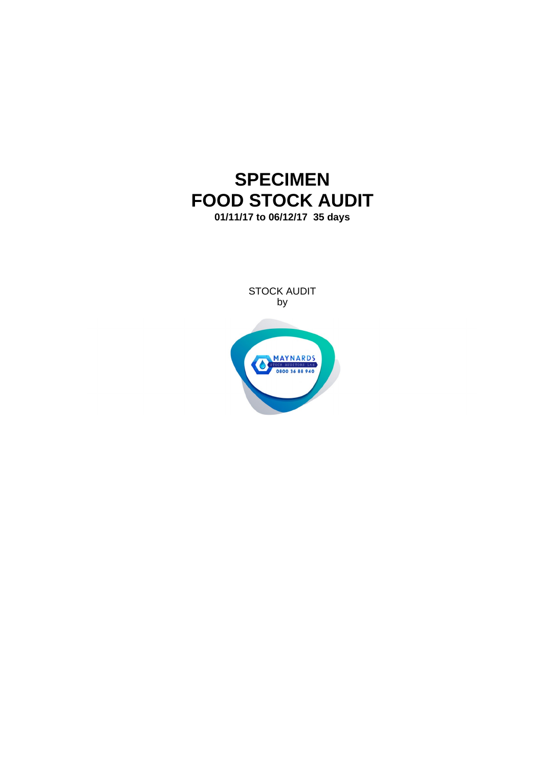# **SPECIMEN FOOD STOCK AUDIT 01/11/17 to 06/12/17 35 days**

STOCK AUDIT by

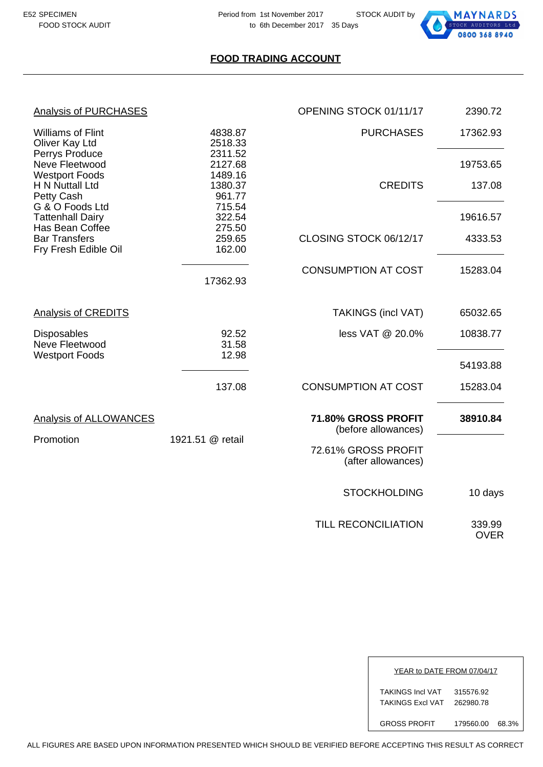

#### **FOOD TRADING ACCOUNT**

| <b>Analysis of PURCHASES</b>                                    |                              | OPENING STOCK 01/11/17                     | 2390.72               |
|-----------------------------------------------------------------|------------------------------|--------------------------------------------|-----------------------|
| <b>Williams of Flint</b><br>Oliver Kay Ltd                      | 4838.87<br>2518.33           | <b>PURCHASES</b>                           | 17362.93              |
| Perrys Produce<br>Neve Fleetwood                                | 2311.52<br>2127.68           |                                            | 19753.65              |
| <b>Westport Foods</b><br>H N Nuttall Ltd<br>Petty Cash          | 1489.16<br>1380.37<br>961.77 | <b>CREDITS</b>                             | 137.08                |
| G & O Foods Ltd<br><b>Tattenhall Dairy</b>                      | 715.54<br>322.54             |                                            | 19616.57              |
| Has Bean Coffee<br><b>Bar Transfers</b><br>Fry Fresh Edible Oil | 275.50<br>259.65<br>162.00   | CLOSING STOCK 06/12/17                     | 4333.53               |
|                                                                 | 17362.93                     | <b>CONSUMPTION AT COST</b>                 | 15283.04              |
| <b>Analysis of CREDITS</b>                                      |                              | <b>TAKINGS (incl VAT)</b>                  | 65032.65              |
| <b>Disposables</b><br>Neve Fleetwood<br><b>Westport Foods</b>   | 92.52<br>31.58<br>12.98      | less VAT @ 20.0%                           | 10838.77              |
|                                                                 |                              |                                            | 54193.88              |
|                                                                 | 137.08                       | <b>CONSUMPTION AT COST</b>                 | 15283.04              |
| <b>Analysis of ALLOWANCES</b>                                   |                              | 71.80% GROSS PROFIT<br>(before allowances) | 38910.84              |
| Promotion                                                       | 1921.51 @ retail             | 72.61% GROSS PROFIT<br>(after allowances)  |                       |
|                                                                 |                              | <b>STOCKHOLDING</b>                        | 10 days               |
|                                                                 |                              | <b>TILL RECONCILIATION</b>                 | 339.99<br><b>OVER</b> |

| YEAR to DATE FROM 07/04/17                         |                        |       |
|----------------------------------------------------|------------------------|-------|
| <b>TAKINGS Incl VAT</b><br><b>TAKINGS Excl VAT</b> | 315576.92<br>262980.78 |       |
| <b>GROSS PROFIT</b>                                | 179560.00              | 68.3% |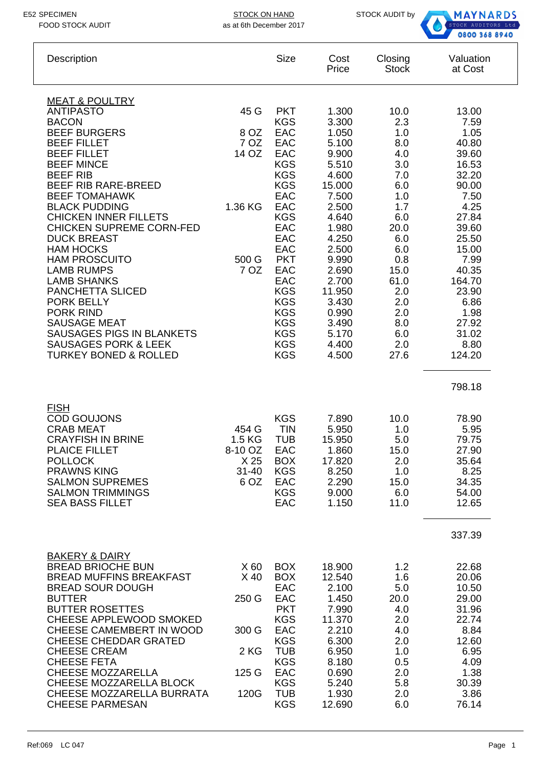STOCK ON HAND STOCK AUDIT by



| Description                                                                                                                                                                                                                                                                                                                                                                                                                                                                                                                                                                                                                           |                                                                    | <b>Size</b>                                                                                                                                                                                                                                                            | Cost<br>Price                                                                                                                                                                                                          | Closing<br><b>Stock</b>                                                                                                                                                   | Valuation<br>at Cost                                                                                                                                                                                           |
|---------------------------------------------------------------------------------------------------------------------------------------------------------------------------------------------------------------------------------------------------------------------------------------------------------------------------------------------------------------------------------------------------------------------------------------------------------------------------------------------------------------------------------------------------------------------------------------------------------------------------------------|--------------------------------------------------------------------|------------------------------------------------------------------------------------------------------------------------------------------------------------------------------------------------------------------------------------------------------------------------|------------------------------------------------------------------------------------------------------------------------------------------------------------------------------------------------------------------------|---------------------------------------------------------------------------------------------------------------------------------------------------------------------------|----------------------------------------------------------------------------------------------------------------------------------------------------------------------------------------------------------------|
| <b>MEAT &amp; POULTRY</b><br><b>ANTIPASTO</b><br><b>BACON</b><br><b>BEEF BURGERS</b><br><b>BEEF FILLET</b><br><b>BEEF FILLET</b><br><b>BEEF MINCE</b><br><b>BEEF RIB</b><br>BEEF RIB RARE-BREED<br><b>BEEF TOMAHAWK</b><br><b>BLACK PUDDING</b><br><b>CHICKEN INNER FILLETS</b><br><b>CHICKEN SUPREME CORN-FED</b><br><b>DUCK BREAST</b><br><b>HAM HOCKS</b><br><b>HAM PROSCUITO</b><br><b>LAMB RUMPS</b><br><b>LAMB SHANKS</b><br><b>PANCHETTA SLICED</b><br><b>PORK BELLY</b><br><b>PORK RIND</b><br><b>SAUSAGE MEAT</b><br><b>SAUSAGES PIGS IN BLANKETS</b><br><b>SAUSAGES PORK &amp; LEEK</b><br><b>TURKEY BONED &amp; ROLLED</b> | 45 G<br>8 OZ<br>7 OZ<br>14 OZ<br>1.36 KG<br>500 G<br>7 OZ          | <b>PKT</b><br><b>KGS</b><br>EAC<br>EAC<br>EAC<br><b>KGS</b><br><b>KGS</b><br><b>KGS</b><br>EAC<br>EAC<br><b>KGS</b><br>EAC<br>EAC<br>EAC<br><b>PKT</b><br>EAC<br>EAC<br><b>KGS</b><br><b>KGS</b><br><b>KGS</b><br><b>KGS</b><br><b>KGS</b><br><b>KGS</b><br><b>KGS</b> | 1.300<br>3.300<br>1.050<br>5.100<br>9.900<br>5.510<br>4.600<br>15.000<br>7.500<br>2.500<br>4.640<br>1.980<br>4.250<br>2.500<br>9.990<br>2.690<br>2.700<br>11.950<br>3.430<br>0.990<br>3.490<br>5.170<br>4.400<br>4.500 | 10.0<br>2.3<br>1.0<br>8.0<br>4.0<br>3.0<br>7.0<br>6.0<br>1.0<br>1.7<br>6.0<br>20.0<br>6.0<br>6.0<br>0.8<br>15.0<br>61.0<br>2.0<br>2.0<br>2.0<br>8.0<br>6.0<br>2.0<br>27.6 | 13.00<br>7.59<br>1.05<br>40.80<br>39.60<br>16.53<br>32.20<br>90.00<br>7.50<br>4.25<br>27.84<br>39.60<br>25.50<br>15.00<br>7.99<br>40.35<br>164.70<br>23.90<br>6.86<br>1.98<br>27.92<br>31.02<br>8.80<br>124.20 |
| <b>FISH</b><br><b>COD GOUJONS</b><br><b>CRAB MEAT</b><br><b>CRAYFISH IN BRINE</b><br>PLAICE FILLET<br><b>POLLOCK</b><br><b>PRAWNS KING</b><br><b>SALMON SUPREMES</b><br><b>SALMON TRIMMINGS</b><br><b>SEA BASS FILLET</b>                                                                                                                                                                                                                                                                                                                                                                                                             | 454 G<br>1.5 KG<br>8-10 OZ<br>X <sub>25</sub><br>$31 - 40$<br>6 OZ | <b>KGS</b><br><b>TIN</b><br><b>TUB</b><br>EAC<br><b>BOX</b><br><b>KGS</b><br><b>EAC</b><br><b>KGS</b><br>EAC                                                                                                                                                           | 7.890<br>5.950<br>15.950<br>1.860<br>17.820<br>8.250<br>2.290<br>9.000<br>1.150                                                                                                                                        | 10.0<br>1.0<br>5.0<br>15.0<br>2.0<br>1.0<br>15.0<br>6.0<br>11.0                                                                                                           | 798.18<br>78.90<br>5.95<br>79.75<br>27.90<br>35.64<br>8.25<br>34.35<br>54.00<br>12.65<br>337.39                                                                                                                |
| <b>BAKERY &amp; DAIRY</b><br>BREAD BRIOCHE BUN<br><b>BREAD MUFFINS BREAKFAST</b><br><b>BREAD SOUR DOUGH</b><br><b>BUTTER</b><br><b>BUTTER ROSETTES</b><br>CHEESE APPLEWOOD SMOKED<br>CHEESE CAMEMBERT IN WOOD<br><b>CHEESE CHEDDAR GRATED</b><br><b>CHEESE CREAM</b><br><b>CHEESE FETA</b><br><b>CHEESE MOZZARELLA</b><br>CHEESE MOZZARELLA BLOCK<br>CHEESE MOZZARELLA BURRATA<br><b>CHEESE PARMESAN</b>                                                                                                                                                                                                                              | X 60<br>$X$ 40<br>250 G<br>300 G<br>2 KG<br>125 G<br>120G          | <b>BOX</b><br><b>BOX</b><br>EAC<br>EAC<br><b>PKT</b><br><b>KGS</b><br>EAC<br><b>KGS</b><br><b>TUB</b><br><b>KGS</b><br>EAC<br><b>KGS</b><br><b>TUB</b><br><b>KGS</b>                                                                                                   | 18.900<br>12.540<br>2.100<br>1.450<br>7.990<br>11.370<br>2.210<br>6.300<br>6.950<br>8.180<br>0.690<br>5.240<br>1.930<br>12.690                                                                                         | 1.2<br>1.6<br>5.0<br>20.0<br>4.0<br>2.0<br>4.0<br>2.0<br>1.0<br>0.5<br>2.0<br>5.8<br>2.0<br>6.0                                                                           | 22.68<br>20.06<br>10.50<br>29.00<br>31.96<br>22.74<br>8.84<br>12.60<br>6.95<br>4.09<br>1.38<br>30.39<br>3.86<br>76.14                                                                                          |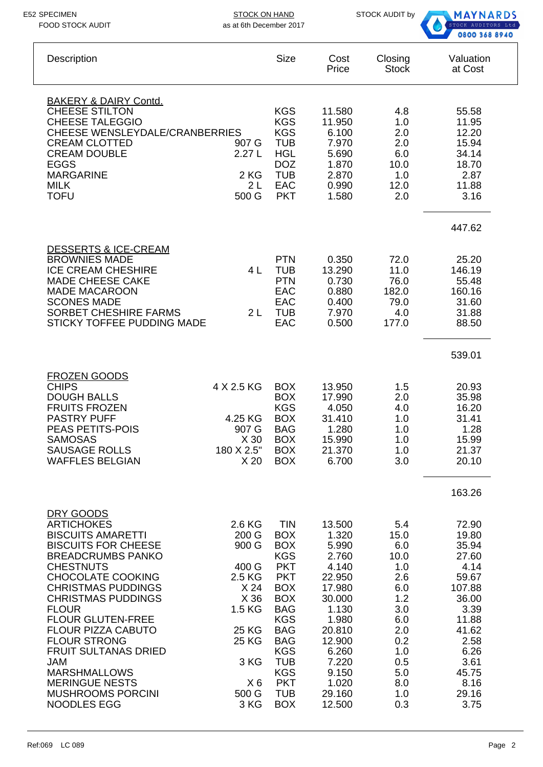STOCK ON HAND STOCK AUDIT by as at 6th December 2017



| Description                                                                                                                                                                                                                                                                                                                                                                                                                                                                   | <b>Size</b>                                                                                                                                                                                                                                                                                                                                                                                  | Cost<br>Price                                                                                                                                                          | Closing<br><b>Stock</b>                                                                                                      | Valuation<br>at Cost                                                                                                                                     |
|-------------------------------------------------------------------------------------------------------------------------------------------------------------------------------------------------------------------------------------------------------------------------------------------------------------------------------------------------------------------------------------------------------------------------------------------------------------------------------|----------------------------------------------------------------------------------------------------------------------------------------------------------------------------------------------------------------------------------------------------------------------------------------------------------------------------------------------------------------------------------------------|------------------------------------------------------------------------------------------------------------------------------------------------------------------------|------------------------------------------------------------------------------------------------------------------------------|----------------------------------------------------------------------------------------------------------------------------------------------------------|
| <b>BAKERY &amp; DAIRY Contd.</b><br><b>CHEESE STILTON</b><br><b>CHEESE TALEGGIO</b><br><b>CHEESE WENSLEYDALE/CRANBERRIES</b><br><b>CREAM CLOTTED</b><br><b>CREAM DOUBLE</b><br><b>EGGS</b><br><b>MARGARINE</b><br><b>MILK</b><br><b>TOFU</b>                                                                                                                                                                                                                                  | <b>KGS</b><br><b>KGS</b><br><b>KGS</b><br><b>TUB</b><br>907 G<br>2.27L<br><b>HGL</b><br><b>DOZ</b><br><b>TUB</b><br>2 KG<br><b>EAC</b><br>2L<br>500 G<br><b>PKT</b>                                                                                                                                                                                                                          | 11.580<br>11.950<br>6.100<br>7.970<br>5.690<br>1.870<br>2.870<br>0.990<br>1.580                                                                                        | 4.8<br>1.0<br>2.0<br>2.0<br>6.0<br>10.0<br>1.0<br>12.0<br>2.0                                                                | 55.58<br>11.95<br>12.20<br>15.94<br>34.14<br>18.70<br>2.87<br>11.88<br>3.16                                                                              |
| <b>DESSERTS &amp; ICE-CREAM</b><br><b>BROWNIES MADE</b><br><b>ICE CREAM CHESHIRE</b><br><b>MADE CHEESE CAKE</b><br><b>MADE MACAROON</b><br><b>SCONES MADE</b><br><b>SORBET CHESHIRE FARMS</b><br>STICKY TOFFEE PUDDING MADE                                                                                                                                                                                                                                                   | <b>PTN</b><br><b>TUB</b><br>4 L<br><b>PTN</b><br><b>EAC</b><br>EAC<br><b>TUB</b><br>2L<br><b>EAC</b>                                                                                                                                                                                                                                                                                         | 0.350<br>13.290<br>0.730<br>0.880<br>0.400<br>7.970<br>0.500                                                                                                           | 72.0<br>11.0<br>76.0<br>182.0<br>79.0<br>4.0<br>177.0                                                                        | 447.62<br>25.20<br>146.19<br>55.48<br>160.16<br>31.60<br>31.88<br>88.50                                                                                  |
| <b>FROZEN GOODS</b><br><b>CHIPS</b><br>4 X 2.5 KG<br><b>DOUGH BALLS</b><br><b>FRUITS FROZEN</b><br><b>PASTRY PUFF</b><br>4.25 KG<br>PEAS PETITS-POIS<br><b>SAMOSAS</b><br><b>SAUSAGE ROLLS</b><br>180 X 2.5"<br><b>WAFFLES BELGIAN</b>                                                                                                                                                                                                                                        | <b>BOX</b><br><b>BOX</b><br><b>KGS</b><br><b>BOX</b><br><b>BAG</b><br>907 G<br>X 30<br><b>BOX</b><br><b>BOX</b><br>X <sub>20</sub><br><b>BOX</b>                                                                                                                                                                                                                                             | 13.950<br>17.990<br>4.050<br>31.410<br>1.280<br>15.990<br>21.370<br>6.700                                                                                              | 1.5<br>2.0<br>4.0<br>1.0<br>1.0<br>1.0<br>1.0<br>3.0                                                                         | 539.01<br>20.93<br>35.98<br>16.20<br>31.41<br>1.28<br>15.99<br>21.37<br>20.10<br>163.26                                                                  |
| DRY GOODS<br><b>ARTICHOKES</b><br><b>BISCUITS AMARETTI</b><br><b>BISCUITS FOR CHEESE</b><br><b>BREADCRUMBS PANKO</b><br><b>CHESTNUTS</b><br><b>CHOCOLATE COOKING</b><br><b>CHRISTMAS PUDDINGS</b><br><b>CHRISTMAS PUDDINGS</b><br><b>FLOUR</b><br><b>FLOUR GLUTEN-FREE</b><br><b>FLOUR PIZZA CABUTO</b><br><b>FLOUR STRONG</b><br><b>FRUIT SULTANAS DRIED</b><br><b>JAM</b><br><b>MARSHMALLOWS</b><br><b>MERINGUE NESTS</b><br><b>MUSHROOMS PORCINI</b><br><b>NOODLES EGG</b> | 2.6 KG<br><b>TIN</b><br>200 G<br><b>BOX</b><br><b>BOX</b><br>900 G<br><b>KGS</b><br><b>PKT</b><br>400 G<br><b>PKT</b><br>2.5 KG<br><b>BOX</b><br>X 24<br><b>BOX</b><br>X 36<br><b>BAG</b><br>1.5 KG<br><b>KGS</b><br><b>BAG</b><br><b>25 KG</b><br><b>BAG</b><br>25 KG<br><b>KGS</b><br>3 KG<br><b>TUB</b><br><b>KGS</b><br><b>PKT</b><br>$X_6$<br>500 G<br><b>TUB</b><br>3 KG<br><b>BOX</b> | 13.500<br>1.320<br>5.990<br>2.760<br>4.140<br>22.950<br>17.980<br>30.000<br>1.130<br>1.980<br>20.810<br>12.900<br>6.260<br>7.220<br>9.150<br>1.020<br>29.160<br>12.500 | 5.4<br>15.0<br>6.0<br>10.0<br>1.0<br>2.6<br>6.0<br>1.2<br>3.0<br>6.0<br>2.0<br>0.2<br>1.0<br>0.5<br>5.0<br>8.0<br>1.0<br>0.3 | 72.90<br>19.80<br>35.94<br>27.60<br>4.14<br>59.67<br>107.88<br>36.00<br>3.39<br>11.88<br>41.62<br>2.58<br>6.26<br>3.61<br>45.75<br>8.16<br>29.16<br>3.75 |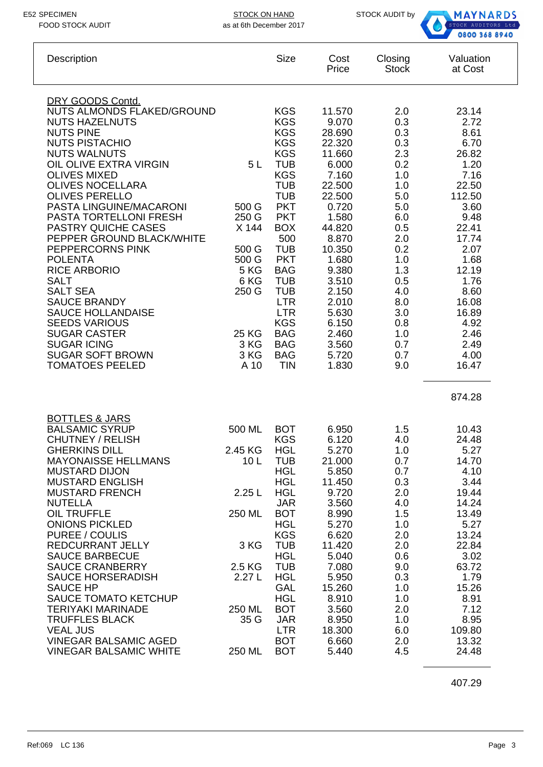STOCK ON HAND STOCK AUDIT by



| Description                                                                                                                                                                                                                                                                                                                                                                                                                                                                                                                                                                                                                                  |                                                                                                                  | <b>Size</b>                                                                                                                                                                                                                                                                                                                                         | Cost<br>Price                                                                                                                                                                                                                         | Closing<br><b>Stock</b>                                                                                                                                                     | Valuation<br>at Cost                                                                                                                                                                                            |
|----------------------------------------------------------------------------------------------------------------------------------------------------------------------------------------------------------------------------------------------------------------------------------------------------------------------------------------------------------------------------------------------------------------------------------------------------------------------------------------------------------------------------------------------------------------------------------------------------------------------------------------------|------------------------------------------------------------------------------------------------------------------|-----------------------------------------------------------------------------------------------------------------------------------------------------------------------------------------------------------------------------------------------------------------------------------------------------------------------------------------------------|---------------------------------------------------------------------------------------------------------------------------------------------------------------------------------------------------------------------------------------|-----------------------------------------------------------------------------------------------------------------------------------------------------------------------------|-----------------------------------------------------------------------------------------------------------------------------------------------------------------------------------------------------------------|
| DRY GOODS Contd.<br>NUTS ALMONDS FLAKED/GROUND<br><b>NUTS HAZELNUTS</b><br><b>NUTS PINE</b><br><b>NUTS PISTACHIO</b><br><b>NUTS WALNUTS</b><br>OIL OLIVE EXTRA VIRGIN<br><b>OLIVES MIXED</b><br><b>OLIVES NOCELLARA</b><br><b>OLIVES PERELLO</b><br>PASTA LINGUINE/MACARONI<br>PASTA TORTELLONI FRESH<br><b>PASTRY QUICHE CASES</b><br>PEPPER GROUND BLACK/WHITE<br>PEPPERCORNS PINK<br><b>POLENTA</b><br><b>RICE ARBORIO</b><br><b>SALT</b><br><b>SALT SEA</b><br><b>SAUCE BRANDY</b><br><b>SAUCE HOLLANDAISE</b><br><b>SEEDS VARIOUS</b><br><b>SUGAR CASTER</b><br><b>SUGAR ICING</b><br><b>SUGAR SOFT BROWN</b><br><b>TOMATOES PEELED</b> | 5L<br>500 G<br>250 G<br>X 144<br>500 G<br>500 G<br><b>5 KG</b><br>6 KG<br>250 G<br>25 KG<br>3 KG<br>3 KG<br>A 10 | <b>KGS</b><br><b>KGS</b><br><b>KGS</b><br><b>KGS</b><br><b>KGS</b><br><b>TUB</b><br><b>KGS</b><br><b>TUB</b><br><b>TUB</b><br><b>PKT</b><br><b>PKT</b><br><b>BOX</b><br>500<br><b>TUB</b><br><b>PKT</b><br><b>BAG</b><br><b>TUB</b><br><b>TUB</b><br><b>LTR</b><br><b>LTR</b><br><b>KGS</b><br><b>BAG</b><br><b>BAG</b><br><b>BAG</b><br><b>TIN</b> | 11.570<br>9.070<br>28.690<br>22.320<br>11.660<br>6.000<br>7.160<br>22.500<br>22.500<br>0.720<br>1.580<br>44.820<br>8.870<br>10.350<br>1.680<br>9.380<br>3.510<br>2.150<br>2.010<br>5.630<br>6.150<br>2.460<br>3.560<br>5.720<br>1.830 | 2.0<br>0.3<br>0.3<br>0.3<br>2.3<br>0.2<br>1.0<br>1.0<br>5.0<br>5.0<br>6.0<br>0.5<br>2.0<br>0.2<br>1.0<br>1.3<br>0.5<br>4.0<br>8.0<br>3.0<br>0.8<br>1.0<br>0.7<br>0.7<br>9.0 | 23.14<br>2.72<br>8.61<br>6.70<br>26.82<br>1.20<br>7.16<br>22.50<br>112.50<br>3.60<br>9.48<br>22.41<br>17.74<br>2.07<br>1.68<br>12.19<br>1.76<br>8.60<br>16.08<br>16.89<br>4.92<br>2.46<br>2.49<br>4.00<br>16.47 |
|                                                                                                                                                                                                                                                                                                                                                                                                                                                                                                                                                                                                                                              |                                                                                                                  |                                                                                                                                                                                                                                                                                                                                                     |                                                                                                                                                                                                                                       |                                                                                                                                                                             | 874.28                                                                                                                                                                                                          |
| <b>BOTTLES &amp; JARS</b><br><b>BALSAMIC SYRUP</b><br><b>CHUTNEY / RELISH</b><br><b>GHERKINS DILL</b><br><b>MAYONAISSE HELLMANS</b><br><b>MUSTARD DIJON</b><br><b>MUSTARD ENGLISH</b><br><b>MUSTARD FRENCH</b><br><b>NUTELLA</b><br><b>OIL TRUFFLE</b><br><b>ONIONS PICKLED</b><br>PUREE / COULIS<br><b>REDCURRANT JELLY</b><br><b>SAUCE BARBECUE</b><br><b>SAUCE CRANBERRY</b><br><b>SAUCE HORSERADISH</b><br><b>SAUCE HP</b><br><b>SAUCE TOMATO KETCHUP</b><br><b>TERIYAKI MARINADE</b><br><b>TRUFFLES BLACK</b><br><b>VEAL JUS</b><br><b>VINEGAR BALSAMIC AGED</b><br><b>VINEGAR BALSAMIC WHITE</b>                                       | 500 ML<br>2.45 KG<br>10L<br>2.25L<br>250 ML<br>3 KG<br>2.5 KG<br>2.27L<br>250 ML<br>35 G<br>250 ML               | <b>BOT</b><br><b>KGS</b><br><b>HGL</b><br><b>TUB</b><br><b>HGL</b><br><b>HGL</b><br><b>HGL</b><br><b>JAR</b><br><b>BOT</b><br><b>HGL</b><br><b>KGS</b><br><b>TUB</b><br><b>HGL</b><br><b>TUB</b><br><b>HGL</b><br><b>GAL</b><br><b>HGL</b><br><b>BOT</b><br><b>JAR</b><br><b>LTR</b><br><b>BOT</b><br><b>BOT</b>                                    | 6.950<br>6.120<br>5.270<br>21.000<br>5.850<br>11.450<br>9.720<br>3.560<br>8.990<br>5.270<br>6.620<br>11.420<br>5.040<br>7.080<br>5.950<br>15.260<br>8.910<br>3.560<br>8.950<br>18.300<br>6.660<br>5.440                               | 1.5<br>4.0<br>1.0<br>0.7<br>0.7<br>0.3<br>2.0<br>4.0<br>1.5<br>1.0<br>2.0<br>2.0<br>0.6<br>9.0<br>0.3<br>1.0<br>1.0<br>2.0<br>1.0<br>6.0<br>2.0<br>4.5                      | 10.43<br>24.48<br>5.27<br>14.70<br>4.10<br>3.44<br>19.44<br>14.24<br>13.49<br>5.27<br>13.24<br>22.84<br>3.02<br>63.72<br>1.79<br>15.26<br>8.91<br>7.12<br>8.95<br>109.80<br>13.32<br>24.48                      |

407.29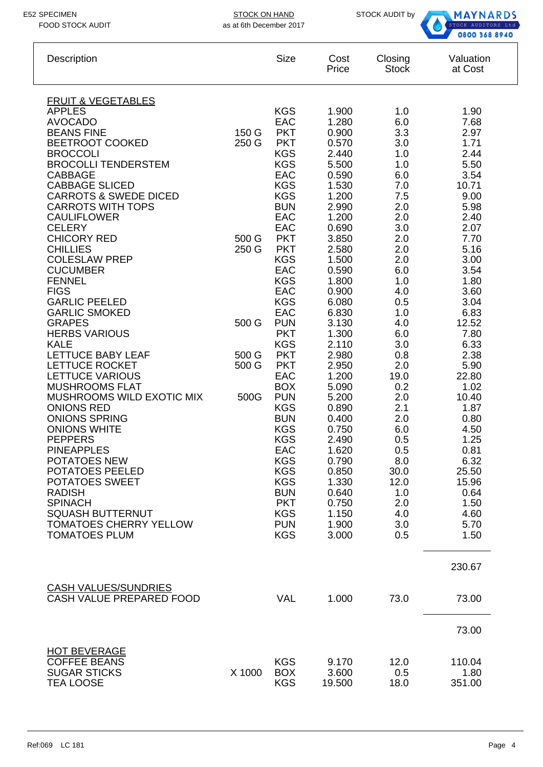

| Description                                                                                                                                                                                                                                                                                                                                                                                                                                                                                                                                                                                                                                                                                                                                                                                                                                                                                                                                                         |                                                                     | <b>Size</b>                                                                                                                                                                                                                                                                                                                                                                                                                                                                                                                        | Cost<br>Price                                                                                                                                                                                                                                                                                                                                                                 | Closing<br><b>Stock</b>                                                                                                                                                                                                                                                                        | Valuation<br>at Cost                                                                                                                                                                                                                                                                                                                       |
|---------------------------------------------------------------------------------------------------------------------------------------------------------------------------------------------------------------------------------------------------------------------------------------------------------------------------------------------------------------------------------------------------------------------------------------------------------------------------------------------------------------------------------------------------------------------------------------------------------------------------------------------------------------------------------------------------------------------------------------------------------------------------------------------------------------------------------------------------------------------------------------------------------------------------------------------------------------------|---------------------------------------------------------------------|------------------------------------------------------------------------------------------------------------------------------------------------------------------------------------------------------------------------------------------------------------------------------------------------------------------------------------------------------------------------------------------------------------------------------------------------------------------------------------------------------------------------------------|-------------------------------------------------------------------------------------------------------------------------------------------------------------------------------------------------------------------------------------------------------------------------------------------------------------------------------------------------------------------------------|------------------------------------------------------------------------------------------------------------------------------------------------------------------------------------------------------------------------------------------------------------------------------------------------|--------------------------------------------------------------------------------------------------------------------------------------------------------------------------------------------------------------------------------------------------------------------------------------------------------------------------------------------|
| <b>FRUIT &amp; VEGETABLES</b><br><b>APPLES</b><br><b>AVOCADO</b><br><b>BEANS FINE</b><br><b>BEETROOT COOKED</b><br><b>BROCCOLI</b><br><b>BROCOLLI TENDERSTEM</b><br><b>CABBAGE</b><br><b>CABBAGE SLICED</b><br><b>CARROTS &amp; SWEDE DICED</b><br><b>CARROTS WITH TOPS</b><br><b>CAULIFLOWER</b><br><b>CELERY</b><br><b>CHICORY RED</b><br><b>CHILLIES</b><br><b>COLESLAW PREP</b><br><b>CUCUMBER</b><br><b>FENNEL</b><br><b>FIGS</b><br><b>GARLIC PEELED</b><br><b>GARLIC SMOKED</b><br><b>GRAPES</b><br><b>HERBS VARIOUS</b><br><b>KALE</b><br><b>LETTUCE BABY LEAF</b><br>LETTUCE ROCKET<br><b>LETTUCE VARIOUS</b><br><b>MUSHROOMS FLAT</b><br>MUSHROOMS WILD EXOTIC MIX<br><b>ONIONS RED</b><br><b>ONIONS SPRING</b><br><b>ONIONS WHITE</b><br><b>PEPPERS</b><br><b>PINEAPPLES</b><br>POTATOES NEW<br>POTATOES PEELED<br>POTATOES SWEET<br><b>RADISH</b><br><b>SPINACH</b><br><b>SQUASH BUTTERNUT</b><br><b>TOMATOES CHERRY YELLOW</b><br><b>TOMATOES PLUM</b> | 150 G<br>250 G<br>500 G<br>250 G<br>500 G<br>500 G<br>500 G<br>500G | <b>KGS</b><br>EAC<br><b>PKT</b><br><b>PKT</b><br><b>KGS</b><br><b>KGS</b><br><b>EAC</b><br><b>KGS</b><br><b>KGS</b><br><b>BUN</b><br>EAC<br>EAC<br><b>PKT</b><br><b>PKT</b><br><b>KGS</b><br>EAC<br><b>KGS</b><br>EAC<br><b>KGS</b><br>EAC<br><b>PUN</b><br><b>PKT</b><br><b>KGS</b><br><b>PKT</b><br><b>PKT</b><br>EAC<br><b>BOX</b><br><b>PUN</b><br><b>KGS</b><br><b>BUN</b><br><b>KGS</b><br><b>KGS</b><br>EAC<br><b>KGS</b><br><b>KGS</b><br><b>KGS</b><br><b>BUN</b><br><b>PKT</b><br><b>KGS</b><br><b>PUN</b><br><b>KGS</b> | 1.900<br>1.280<br>0.900<br>0.570<br>2.440<br>5.500<br>0.590<br>1.530<br>1.200<br>2.990<br>1.200<br>0.690<br>3.850<br>2.580<br>1.500<br>0.590<br>1.800<br>0.900<br>6.080<br>6.830<br>3.130<br>1.300<br>2.110<br>2.980<br>2.950<br>1.200<br>5.090<br>5.200<br>0.890<br>0.400<br>0.750<br>2.490<br>1.620<br>0.790<br>0.850<br>1.330<br>0.640<br>0.750<br>1.150<br>1.900<br>3.000 | 1.0<br>6.0<br>3.3<br>3.0<br>1.0<br>1.0<br>6.0<br>7.0<br>7.5<br>2.0<br>2.0<br>3.0<br>2.0<br>2.0<br>2.0<br>6.0<br>1.0<br>4.0<br>0.5<br>1.0<br>4.0<br>6.0<br>3.0<br>0.8<br>2.0<br>19.0<br>0.2<br>2.0<br>2.1<br>2.0<br>6.0<br>0.5<br>0.5<br>8.0<br>30.0<br>12.0<br>1.0<br>2.0<br>4.0<br>3.0<br>0.5 | 1.90<br>7.68<br>2.97<br>1.71<br>2.44<br>5.50<br>3.54<br>10.71<br>9.00<br>5.98<br>2.40<br>2.07<br>7.70<br>5.16<br>3.00<br>3.54<br>1.80<br>3.60<br>3.04<br>6.83<br>12.52<br>7.80<br>6.33<br>2.38<br>5.90<br>22.80<br>1.02<br>10.40<br>1.87<br>0.80<br>4.50<br>1.25<br>0.81<br>6.32<br>25.50<br>15.96<br>0.64<br>1.50<br>4.60<br>5.70<br>1.50 |
| <b>CASH VALUES/SUNDRIES</b><br>CASH VALUE PREPARED FOOD                                                                                                                                                                                                                                                                                                                                                                                                                                                                                                                                                                                                                                                                                                                                                                                                                                                                                                             |                                                                     | <b>VAL</b>                                                                                                                                                                                                                                                                                                                                                                                                                                                                                                                         | 1.000                                                                                                                                                                                                                                                                                                                                                                         | 73.0                                                                                                                                                                                                                                                                                           | 230.67<br>73.00                                                                                                                                                                                                                                                                                                                            |
| <b>HOT BEVERAGE</b><br><b>COFFEE BEANS</b><br><b>SUGAR STICKS</b><br><b>TEA LOOSE</b>                                                                                                                                                                                                                                                                                                                                                                                                                                                                                                                                                                                                                                                                                                                                                                                                                                                                               | X 1000                                                              | <b>KGS</b><br><b>BOX</b><br><b>KGS</b>                                                                                                                                                                                                                                                                                                                                                                                                                                                                                             | 9.170<br>3.600<br>19.500                                                                                                                                                                                                                                                                                                                                                      | 12.0<br>0.5<br>18.0                                                                                                                                                                                                                                                                            | 73.00<br>110.04<br>1.80<br>351.00                                                                                                                                                                                                                                                                                                          |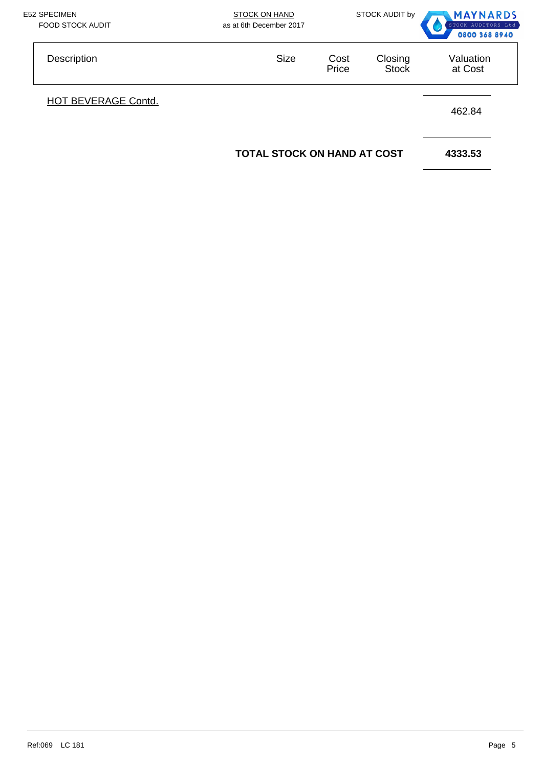| <b>E52 SPECIMEN</b><br><b>FOOD STOCK AUDIT</b> | <b>STOCK ON HAND</b><br>as at 6th December 2017 |               | STOCK AUDIT by          | <b>MAYNARDS</b><br>STOCK AUDITORS Ltd<br>0800 368 8940 |
|------------------------------------------------|-------------------------------------------------|---------------|-------------------------|--------------------------------------------------------|
| Description                                    | <b>Size</b>                                     | Cost<br>Price | Closing<br><b>Stock</b> | Valuation<br>at Cost                                   |
| <b>HOT BEVERAGE Contd.</b>                     |                                                 |               |                         | 462.84                                                 |
|                                                | <b>TOTAL STOCK ON HAND AT COST</b>              |               |                         | 4333.53                                                |
|                                                |                                                 |               |                         |                                                        |
|                                                |                                                 |               |                         |                                                        |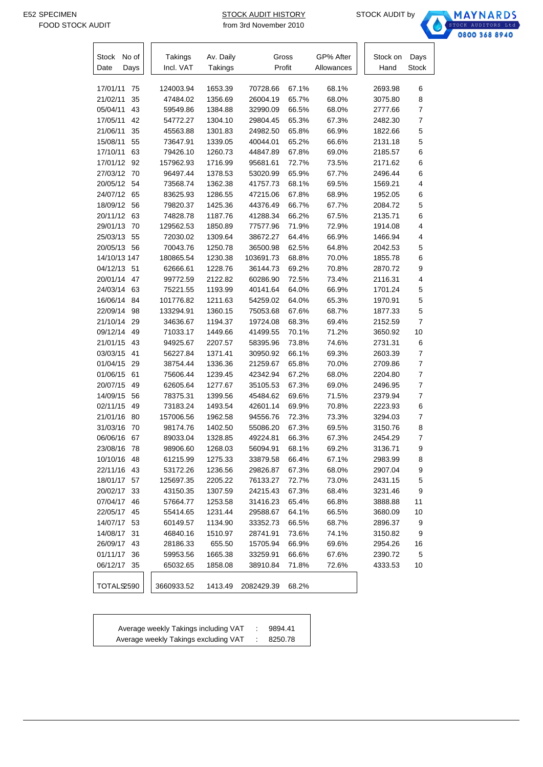т.

STOCK AUDIT HISTORY STOCK AUDIT by from 3rd November 2010



| Stock<br>No of | Takings    | Av. Daily | Gross      |       | GP% After  | Stock on | Days           |
|----------------|------------|-----------|------------|-------|------------|----------|----------------|
| Date<br>Days   | Incl. VAT  | Takings   | Profit     |       | Allowances | Hand     | Stock          |
|                |            |           |            |       |            |          |                |
| 17/01/11<br>75 | 124003.94  | 1653.39   | 70728.66   | 67.1% | 68.1%      | 2693.98  | 6              |
| 21/02/11<br>35 | 47484.02   | 1356.69   | 26004.19   | 65.7% | 68.0%      | 3075.80  | 8              |
| 43<br>05/04/11 | 59549.86   | 1384.88   | 32990.09   | 66.5% | 68.0%      | 2777.66  | $\overline{7}$ |
| 42<br>17/05/11 | 54772.27   | 1304.10   | 29804.45   | 65.3% | 67.3%      | 2482.30  | $\overline{7}$ |
| 35<br>21/06/11 | 45563.88   | 1301.83   | 24982.50   | 65.8% | 66.9%      | 1822.66  | 5              |
| 55<br>15/08/11 | 73647.91   | 1339.05   | 40044.01   | 65.2% | 66.6%      | 2131.18  | 5              |
| 63<br>17/10/11 | 79426.10   | 1260.73   | 44847.89   | 67.8% | 69.0%      | 2185.57  | 6              |
| 17/01/12<br>92 | 157962.93  | 1716.99   | 95681.61   | 72.7% | 73.5%      | 2171.62  | 6              |
| 27/03/12<br>70 | 96497.44   | 1378.53   | 53020.99   | 65.9% | 67.7%      | 2496.44  | 6              |
| 20/05/12<br>54 | 73568.74   | 1362.38   | 41757.73   | 68.1% | 69.5%      | 1569.21  | 4              |
| 24/07/12<br>65 | 83625.93   | 1286.55   | 47215.06   | 67.8% | 68.9%      | 1952.05  | 6              |
| 18/09/12<br>56 | 79820.37   | 1425.36   | 44376.49   | 66.7% | 67.7%      | 2084.72  | 5              |
| 20/11/12<br>63 | 74828.78   | 1187.76   | 41288.34   | 66.2% | 67.5%      | 2135.71  | 6              |
| 29/01/13<br>70 | 129562.53  | 1850.89   | 77577.96   | 71.9% | 72.9%      | 1914.08  | 4              |
| 25/03/13<br>55 | 72030.02   | 1309.64   | 38672.27   | 64.4% | 66.9%      | 1466.94  | 4              |
| 20/05/13<br>56 | 70043.76   | 1250.78   | 36500.98   | 62.5% | 64.8%      | 2042.53  | 5              |
| 14/10/13 147   | 180865.54  | 1230.38   | 103691.73  | 68.8% | 70.0%      | 1855.78  | 6              |
| 04/12/13<br>51 | 62666.61   | 1228.76   | 36144.73   | 69.2% | 70.8%      | 2870.72  | 9              |
| 20/01/14<br>47 | 99772.59   | 2122.82   | 60286.90   | 72.5% | 73.4%      | 2116.31  | 4              |
| 24/03/14<br>63 | 75221.55   | 1193.99   | 40141.64   | 64.0% | 66.9%      | 1701.24  | 5              |
| 16/06/14<br>84 | 101776.82  | 1211.63   | 54259.02   | 64.0% | 65.3%      | 1970.91  | 5              |
| 22/09/14<br>98 | 133294.91  | 1360.15   | 75053.68   | 67.6% | 68.7%      | 1877.33  | 5              |
| 21/10/14<br>29 | 34636.67   | 1194.37   | 19724.08   | 68.3% | 69.4%      | 2152.59  | $\overline{7}$ |
| 09/12/14<br>49 | 71033.17   | 1449.66   | 41499.55   | 70.1% | 71.2%      | 3650.92  | 10             |
| 21/01/15<br>43 | 94925.67   | 2207.57   | 58395.96   | 73.8% | 74.6%      | 2731.31  | 6              |
| 03/03/15<br>41 | 56227.84   | 1371.41   | 30950.92   | 66.1% | 69.3%      | 2603.39  | $\overline{7}$ |
| 01/04/15<br>29 | 38754.44   | 1336.36   | 21259.67   | 65.8% | 70.0%      | 2709.86  | $\overline{7}$ |
| 01/06/15<br>61 | 75606.44   | 1239.45   | 42342.94   | 67.2% | 68.0%      | 2204.80  | $\overline{7}$ |
| 20/07/15<br>49 | 62605.64   | 1277.67   | 35105.53   | 67.3% | 69.0%      | 2496.95  | $\overline{7}$ |
| 14/09/15<br>56 | 78375.31   | 1399.56   | 45484.62   | 69.6% | 71.5%      | 2379.94  | $\overline{7}$ |
| 02/11/15<br>49 | 73183.24   | 1493.54   | 42601.14   | 69.9% | 70.8%      | 2223.93  | 6              |
| 21/01/16<br>80 | 157006.56  | 1962.58   | 94556.76   | 72.3% | 73.3%      | 3294.03  | $\overline{7}$ |
| 31/03/16<br>70 | 98174.76   | 1402.50   | 55086.20   | 67.3% | 69.5%      | 3150.76  | 8              |
| 06/06/16<br>67 | 89033.04   | 1328.85   | 49224.81   | 66.3% | 67.3%      | 2454.29  | $\overline{7}$ |
| 23/08/16<br>78 | 98906.60   | 1268.03   | 56094.91   | 68.1% | 69.2%      | 3136.71  | 9              |
| 10/10/16<br>48 | 61215.99   | 1275.33   | 33879.58   | 66.4% | 67.1%      | 2983.99  | 8              |
| 43<br>22/11/16 | 53172.26   | 1236.56   | 29826.87   | 67.3% | 68.0%      | 2907.04  | 9              |
| 18/01/17<br>57 | 125697.35  | 2205.22   | 76133.27   | 72.7% | 73.0%      | 2431.15  | 5              |
| 20/02/17<br>33 | 43150.35   | 1307.59   | 24215.43   | 67.3% | 68.4%      | 3231.46  | 9              |
| 07/04/17<br>46 | 57664.77   | 1253.58   | 31416.23   | 65.4% | 66.8%      | 3888.88  | 11             |
| 22/05/17<br>45 | 55414.65   | 1231.44   | 29588.67   | 64.1% | 66.5%      | 3680.09  | 10             |
| 14/07/17<br>53 | 60149.57   | 1134.90   | 33352.73   | 66.5% | 68.7%      | 2896.37  | 9              |
| 14/08/17<br>31 | 46840.16   | 1510.97   | 28741.91   | 73.6% | 74.1%      | 3150.82  | 9              |
| 26/09/17<br>43 | 28186.33   | 655.50    | 15705.94   | 66.9% | 69.6%      | 2954.26  | 16             |
| 01/11/17<br>36 | 59953.56   | 1665.38   | 33259.91   | 66.6% | 67.6%      | 2390.72  | 5              |
| 06/12/17<br>35 | 65032.65   | 1858.08   | 38910.84   | 71.8% | 72.6%      | 4333.53  | 10             |
|                |            |           |            |       |            |          |                |
| TOTALS2590     | 3660933.52 | 1413.49   | 2082429.39 | 68.2% |            |          |                |

| Average weekly Takings including VAT | 9894.41 |
|--------------------------------------|---------|
| Average weekly Takings excluding VAT | 8250.78 |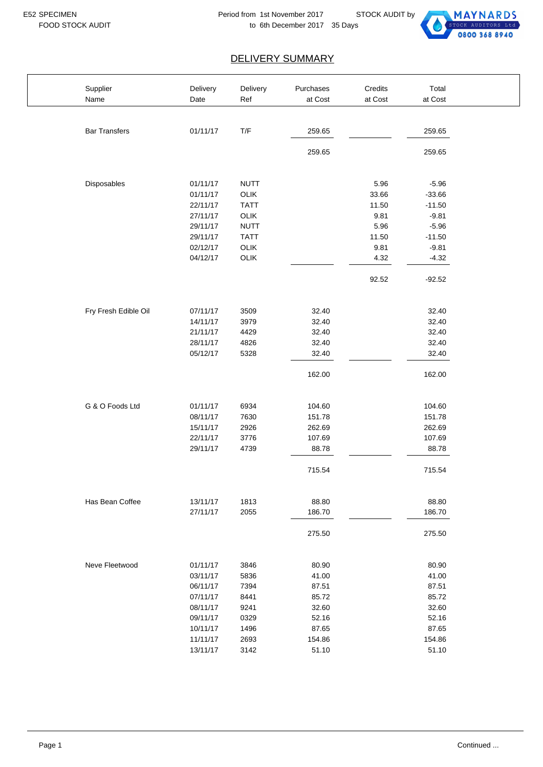

| Supplier             | Delivery | Delivery                | Purchases | Credits | Total    |  |
|----------------------|----------|-------------------------|-----------|---------|----------|--|
| Name                 | Date     | Ref                     | at Cost   | at Cost | at Cost  |  |
|                      |          |                         |           |         |          |  |
| <b>Bar Transfers</b> | 01/11/17 | $\mathsf{T}/\mathsf{F}$ | 259.65    |         | 259.65   |  |
|                      |          |                         | 259.65    |         | 259.65   |  |
|                      |          |                         |           |         |          |  |
| Disposables          | 01/11/17 | <b>NUTT</b>             |           | 5.96    | $-5.96$  |  |
|                      | 01/11/17 | OLIK                    |           | 33.66   | $-33.66$ |  |
|                      | 22/11/17 | <b>TATT</b>             |           | 11.50   | $-11.50$ |  |
|                      | 27/11/17 | OLIK                    |           | 9.81    | $-9.81$  |  |
|                      | 29/11/17 | <b>NUTT</b>             |           | 5.96    | $-5.96$  |  |
|                      | 29/11/17 | <b>TATT</b>             |           | 11.50   | $-11.50$ |  |
|                      | 02/12/17 | OLIK                    |           | 9.81    | $-9.81$  |  |
|                      | 04/12/17 | OLIK                    |           | 4.32    | $-4.32$  |  |
|                      |          |                         |           | 92.52   | $-92.52$ |  |
|                      |          |                         |           |         |          |  |
| Fry Fresh Edible Oil | 07/11/17 | 3509                    | 32.40     |         | 32.40    |  |
|                      | 14/11/17 | 3979                    | 32.40     |         | 32.40    |  |
|                      | 21/11/17 | 4429                    | 32.40     |         | 32.40    |  |
|                      | 28/11/17 | 4826                    | 32.40     |         | 32.40    |  |
|                      | 05/12/17 | 5328                    | 32.40     |         | 32.40    |  |
|                      |          |                         | 162.00    |         | 162.00   |  |
| G & O Foods Ltd      | 01/11/17 | 6934                    | 104.60    |         | 104.60   |  |
|                      | 08/11/17 | 7630                    | 151.78    |         | 151.78   |  |
|                      | 15/11/17 | 2926                    | 262.69    |         | 262.69   |  |
|                      | 22/11/17 | 3776                    | 107.69    |         | 107.69   |  |
|                      | 29/11/17 | 4739                    | 88.78     |         | 88.78    |  |
|                      |          |                         | 715.54    |         | 715.54   |  |
| Has Bean Coffee      | 13/11/17 | 1813                    | 88.80     |         | 88.80    |  |
|                      | 27/11/17 | 2055                    | 186.70    |         | 186.70   |  |
|                      |          |                         | 275.50    |         | 275.50   |  |
|                      |          |                         |           |         |          |  |
| Neve Fleetwood       | 01/11/17 | 3846                    | 80.90     |         | 80.90    |  |
|                      | 03/11/17 | 5836                    | 41.00     |         | 41.00    |  |
|                      | 06/11/17 | 7394                    | 87.51     |         | 87.51    |  |
|                      | 07/11/17 | 8441                    | 85.72     |         | 85.72    |  |
|                      | 08/11/17 | 9241                    | 32.60     |         | 32.60    |  |
|                      | 09/11/17 | 0329                    | 52.16     |         | 52.16    |  |
|                      | 10/11/17 | 1496                    | 87.65     |         | 87.65    |  |
|                      | 11/11/17 | 2693                    | 154.86    |         | 154.86   |  |
|                      | 13/11/17 | 3142                    | 51.10     |         | 51.10    |  |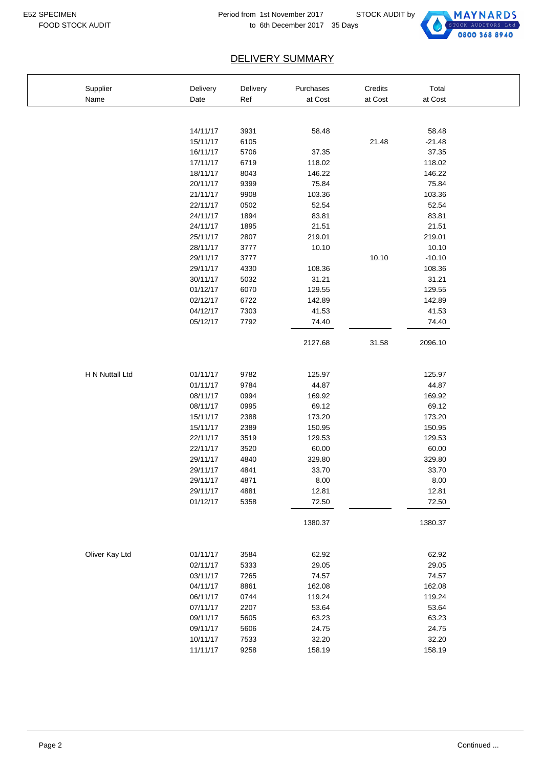$\overline{1}$ 



| Supplier        | Delivery | Delivery | Purchases | Credits | Total    |  |
|-----------------|----------|----------|-----------|---------|----------|--|
| Name            | Date     | Ref      | at Cost   | at Cost | at Cost  |  |
|                 |          |          |           |         |          |  |
|                 |          |          |           |         |          |  |
|                 | 14/11/17 | 3931     | 58.48     |         | 58.48    |  |
|                 | 15/11/17 | 6105     |           | 21.48   | $-21.48$ |  |
|                 | 16/11/17 | 5706     | 37.35     |         | 37.35    |  |
|                 | 17/11/17 | 6719     | 118.02    |         | 118.02   |  |
|                 | 18/11/17 | 8043     | 146.22    |         | 146.22   |  |
|                 | 20/11/17 | 9399     | 75.84     |         | 75.84    |  |
|                 | 21/11/17 | 9908     | 103.36    |         | 103.36   |  |
|                 | 22/11/17 | 0502     | 52.54     |         | 52.54    |  |
|                 | 24/11/17 | 1894     | 83.81     |         | 83.81    |  |
|                 | 24/11/17 | 1895     | 21.51     |         | 21.51    |  |
|                 | 25/11/17 | 2807     | 219.01    |         | 219.01   |  |
|                 | 28/11/17 | 3777     | 10.10     |         | 10.10    |  |
|                 | 29/11/17 | 3777     |           | 10.10   | $-10.10$ |  |
|                 | 29/11/17 | 4330     | 108.36    |         | 108.36   |  |
|                 | 30/11/17 | 5032     | 31.21     |         | 31.21    |  |
|                 | 01/12/17 | 6070     | 129.55    |         | 129.55   |  |
|                 | 02/12/17 | 6722     | 142.89    |         | 142.89   |  |
|                 | 04/12/17 | 7303     | 41.53     |         | 41.53    |  |
|                 | 05/12/17 | 7792     | 74.40     |         | 74.40    |  |
|                 |          |          | 2127.68   | 31.58   | 2096.10  |  |
|                 |          |          |           |         |          |  |
|                 |          |          |           |         |          |  |
| H N Nuttall Ltd | 01/11/17 | 9782     | 125.97    |         | 125.97   |  |
|                 | 01/11/17 | 9784     | 44.87     |         | 44.87    |  |
|                 | 08/11/17 | 0994     | 169.92    |         | 169.92   |  |
|                 | 08/11/17 | 0995     | 69.12     |         | 69.12    |  |
|                 | 15/11/17 | 2388     | 173.20    |         | 173.20   |  |
|                 | 15/11/17 | 2389     | 150.95    |         | 150.95   |  |
|                 | 22/11/17 | 3519     | 129.53    |         | 129.53   |  |
|                 | 22/11/17 | 3520     | 60.00     |         | 60.00    |  |
|                 | 29/11/17 | 4840     | 329.80    |         | 329.80   |  |
|                 | 29/11/17 | 4841     | 33.70     |         | 33.70    |  |
|                 | 29/11/17 | 4871     | 8.00      |         | 8.00     |  |
|                 | 29/11/17 | 4881     | 12.81     |         | 12.81    |  |
|                 | 01/12/17 | 5358     | 72.50     |         | 72.50    |  |
|                 |          |          | 1380.37   |         | 1380.37  |  |
|                 |          |          |           |         |          |  |
| Oliver Kay Ltd  | 01/11/17 | 3584     | 62.92     |         | 62.92    |  |
|                 | 02/11/17 | 5333     | 29.05     |         | 29.05    |  |
|                 | 03/11/17 | 7265     | 74.57     |         | 74.57    |  |
|                 | 04/11/17 | 8861     | 162.08    |         | 162.08   |  |
|                 | 06/11/17 | 0744     | 119.24    |         | 119.24   |  |
|                 | 07/11/17 | 2207     | 53.64     |         | 53.64    |  |
|                 | 09/11/17 | 5605     | 63.23     |         | 63.23    |  |
|                 | 09/11/17 | 5606     | 24.75     |         | 24.75    |  |
|                 | 10/11/17 | 7533     | 32.20     |         | 32.20    |  |
|                 | 11/11/17 | 9258     | 158.19    |         | 158.19   |  |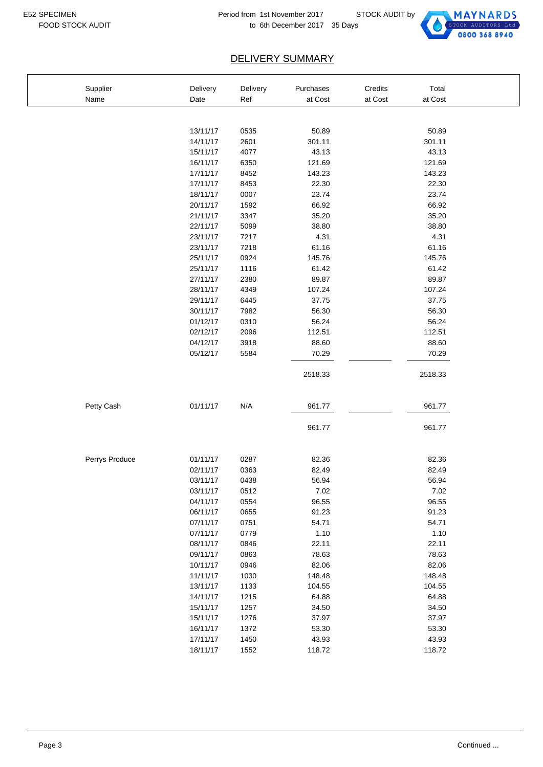

| Supplier       | Delivery | Delivery | Purchases | Credits | Total   |
|----------------|----------|----------|-----------|---------|---------|
| Name           | Date     | Ref      | at Cost   | at Cost | at Cost |
|                |          |          |           |         |         |
|                | 13/11/17 | 0535     | 50.89     |         | 50.89   |
|                | 14/11/17 | 2601     | 301.11    |         | 301.11  |
|                | 15/11/17 | 4077     | 43.13     |         | 43.13   |
|                | 16/11/17 | 6350     | 121.69    |         | 121.69  |
|                | 17/11/17 | 8452     | 143.23    |         | 143.23  |
|                | 17/11/17 | 8453     | 22.30     |         | 22.30   |
|                | 18/11/17 | 0007     | 23.74     |         | 23.74   |
|                | 20/11/17 | 1592     | 66.92     |         | 66.92   |
|                | 21/11/17 | 3347     | 35.20     |         | 35.20   |
|                | 22/11/17 | 5099     | 38.80     |         | 38.80   |
|                | 23/11/17 | 7217     | 4.31      |         | 4.31    |
|                | 23/11/17 | 7218     | 61.16     |         | 61.16   |
|                | 25/11/17 | 0924     | 145.76    |         | 145.76  |
|                | 25/11/17 | 1116     | 61.42     |         | 61.42   |
|                | 27/11/17 | 2380     | 89.87     |         | 89.87   |
|                | 28/11/17 | 4349     | 107.24    |         | 107.24  |
|                | 29/11/17 | 6445     | 37.75     |         | 37.75   |
|                | 30/11/17 | 7982     | 56.30     |         | 56.30   |
|                | 01/12/17 | 0310     | 56.24     |         | 56.24   |
|                | 02/12/17 | 2096     | 112.51    |         | 112.51  |
|                | 04/12/17 | 3918     | 88.60     |         | 88.60   |
|                | 05/12/17 | 5584     | 70.29     |         | 70.29   |
|                |          |          |           |         |         |
|                |          |          | 2518.33   |         | 2518.33 |
| Petty Cash     | 01/11/17 | N/A      | 961.77    |         | 961.77  |
|                |          |          | 961.77    |         | 961.77  |
|                |          |          |           |         |         |
| Perrys Produce | 01/11/17 | 0287     | 82.36     |         | 82.36   |
|                | 02/11/17 | 0363     | 82.49     |         | 82.49   |
|                | 03/11/17 | 0438     | 56.94     |         | 56.94   |
|                | 03/11/17 | 0512     | 7.02      |         | 7.02    |
|                | 04/11/17 | 0554     | 96.55     |         | 96.55   |
|                | 06/11/17 | 0655     | 91.23     |         | 91.23   |
|                | 07/11/17 | 0751     | 54.71     |         | 54.71   |
|                | 07/11/17 | 0779     | 1.10      |         | 1.10    |
|                | 08/11/17 | 0846     | 22.11     |         | 22.11   |
|                | 09/11/17 | 0863     | 78.63     |         | 78.63   |
|                | 10/11/17 | 0946     | 82.06     |         | 82.06   |
|                | 11/11/17 | 1030     | 148.48    |         | 148.48  |
|                | 13/11/17 | 1133     | 104.55    |         | 104.55  |
|                | 14/11/17 | 1215     | 64.88     |         | 64.88   |
|                | 15/11/17 | 1257     | 34.50     |         | 34.50   |
|                | 15/11/17 | 1276     | 37.97     |         | 37.97   |
|                | 16/11/17 | 1372     | 53.30     |         | 53.30   |
|                | 17/11/17 | 1450     | 43.93     |         | 43.93   |
|                | 18/11/17 | 1552     | 118.72    |         | 118.72  |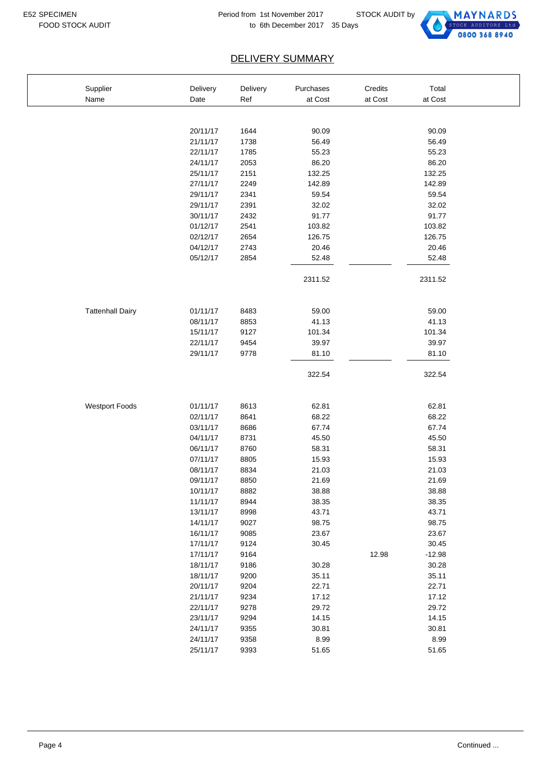$\overline{1}$ 



| Supplier                | Delivery | Delivery | Purchases | Credits | Total    |  |
|-------------------------|----------|----------|-----------|---------|----------|--|
| Name                    | Date     | Ref      | at Cost   | at Cost | at Cost  |  |
|                         |          |          |           |         |          |  |
|                         |          |          |           |         |          |  |
|                         | 20/11/17 | 1644     | 90.09     |         | 90.09    |  |
|                         | 21/11/17 | 1738     | 56.49     |         | 56.49    |  |
|                         | 22/11/17 | 1785     | 55.23     |         | 55.23    |  |
|                         | 24/11/17 | 2053     | 86.20     |         | 86.20    |  |
|                         | 25/11/17 | 2151     | 132.25    |         | 132.25   |  |
|                         | 27/11/17 | 2249     | 142.89    |         | 142.89   |  |
|                         | 29/11/17 | 2341     | 59.54     |         | 59.54    |  |
|                         | 29/11/17 | 2391     | 32.02     |         | 32.02    |  |
|                         | 30/11/17 | 2432     | 91.77     |         | 91.77    |  |
|                         | 01/12/17 | 2541     | 103.82    |         | 103.82   |  |
|                         | 02/12/17 | 2654     | 126.75    |         | 126.75   |  |
|                         | 04/12/17 | 2743     | 20.46     |         | 20.46    |  |
|                         | 05/12/17 | 2854     | 52.48     |         | 52.48    |  |
|                         |          |          | 2311.52   |         | 2311.52  |  |
|                         |          |          |           |         |          |  |
| <b>Tattenhall Dairy</b> | 01/11/17 | 8483     | 59.00     |         | 59.00    |  |
|                         | 08/11/17 | 8853     | 41.13     |         | 41.13    |  |
|                         | 15/11/17 | 9127     | 101.34    |         | 101.34   |  |
|                         | 22/11/17 | 9454     | 39.97     |         | 39.97    |  |
|                         | 29/11/17 | 9778     | 81.10     |         | 81.10    |  |
|                         |          |          | 322.54    |         | 322.54   |  |
| <b>Westport Foods</b>   | 01/11/17 | 8613     | 62.81     |         | 62.81    |  |
|                         | 02/11/17 | 8641     | 68.22     |         | 68.22    |  |
|                         | 03/11/17 | 8686     | 67.74     |         | 67.74    |  |
|                         | 04/11/17 | 8731     | 45.50     |         | 45.50    |  |
|                         | 06/11/17 | 8760     | 58.31     |         | 58.31    |  |
|                         | 07/11/17 | 8805     | 15.93     |         | 15.93    |  |
|                         | 08/11/17 | 8834     | 21.03     |         | 21.03    |  |
|                         | 09/11/17 | 8850     | 21.69     |         | 21.69    |  |
|                         | 10/11/17 | 8882     | 38.88     |         | 38.88    |  |
|                         | 11/11/17 | 8944     | 38.35     |         | 38.35    |  |
|                         | 13/11/17 | 8998     | 43.71     |         | 43.71    |  |
|                         | 14/11/17 | 9027     | 98.75     |         | 98.75    |  |
|                         | 16/11/17 | 9085     | 23.67     |         | 23.67    |  |
|                         | 17/11/17 | 9124     | 30.45     |         | 30.45    |  |
|                         | 17/11/17 | 9164     |           | 12.98   | $-12.98$ |  |
|                         | 18/11/17 | 9186     | 30.28     |         | 30.28    |  |
|                         | 18/11/17 | 9200     | 35.11     |         | 35.11    |  |
|                         | 20/11/17 | 9204     | 22.71     |         | 22.71    |  |
|                         | 21/11/17 | 9234     | 17.12     |         | 17.12    |  |
|                         | 22/11/17 | 9278     | 29.72     |         | 29.72    |  |
|                         | 23/11/17 | 9294     | 14.15     |         | 14.15    |  |
|                         | 24/11/17 | 9355     | 30.81     |         | 30.81    |  |
|                         | 24/11/17 | 9358     | 8.99      |         | 8.99     |  |
|                         | 25/11/17 | 9393     | 51.65     |         | 51.65    |  |